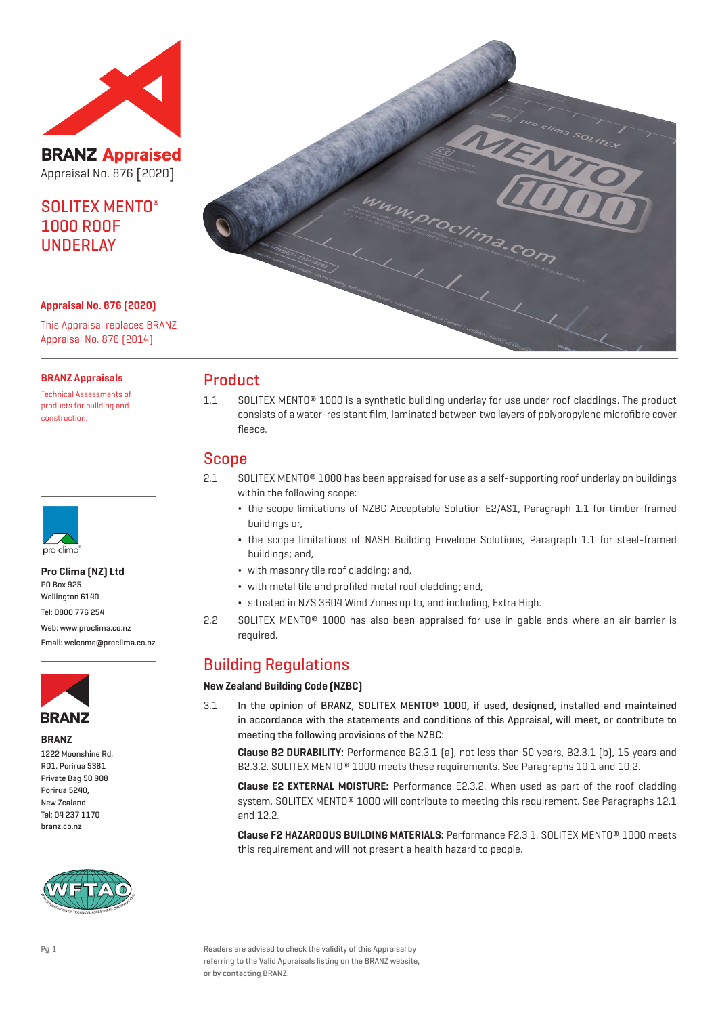

**BRANZ Appraised** Appraisal No. 876 [2020]

# SOLITEX MENTO® 1000 ROOF UNDERLAY

**Appraisal No. 876 (2020)**

This Appraisal replaces BRANZ Appraisal No. 876 (2014)

#### **BRANZ Appraisals**

Technical Assessments of products for building and construction.



**Pro Clima (NZ) Ltd** PO Box 925

Wellington 6140

Tel: 0800 776 254

Web: www.proclima.co.nz

Email: welcome@proclima.co.nz



**BRANZ**

1222 Moonshine Rd, RD1, Porirua 5381 Private Bag 50 908 Porirua 5240, New Zealand Tel: 04 237 1170 branz.co.nz





### Product

1.1 SOLITEX MENTO® 1000 is a synthetic building underlay for use under roof claddings. The product consists of a water-resistant film, laminated between two layers of polypropylene microfibre cover fleece.

### Scope

- 2.1 SOLITEX MENTO® 1000 has been appraised for use as a self-supporting roof underlay on buildings within the following scope:
	- ¬ the scope limitations of NZBC Acceptable Solution E2/AS1, Paragraph 1.1 for timber-framed buildings or,
	- ¬ the scope limitations of NASH Building Envelope Solutions, Paragraph 1.1 for steel-framed buildings; and,
	- ¬ with masonry tile roof cladding; and,
	- ¬ with metal tile and profiled metal roof cladding; and,
	- ¬ situated in NZS 3604 Wind Zones up to, and including, Extra High.
- 2.2 SOLITEX MENTO® 1000 has also been appraised for use in gable ends where an air barrier is required.

## Building Regulations

#### **New Zealand Building Code (NZBC)**

3.1 In the opinion of BRANZ, SOLITEX MENTO® 1000, if used, designed, installed and maintained in accordance with the statements and conditions of this Appraisal, will meet, or contribute to meeting the following provisions of the NZBC:

**Clause B2 DURABILITY:** Performance B2.3.1 (a), not less than 50 years, B2.3.1 (b), 15 years and B2.3.2. SOLITEX MENTO® 1000 meets these requirements. See Paragraphs 10.1 and 10.2.

**Clause E2 EXTERNAL MOISTURE:** Performance E2.3.2. When used as part of the roof cladding system, SOLITEX MENTO® 1000 will contribute to meeting this requirement. See Paragraphs 12.1 and 12.2.

**Clause F2 HAZARDOUS BUILDING MATERIALS:** Performance F2.3.1. SOLITEX MENTO® 1000 meets this requirement and will not present a health hazard to people.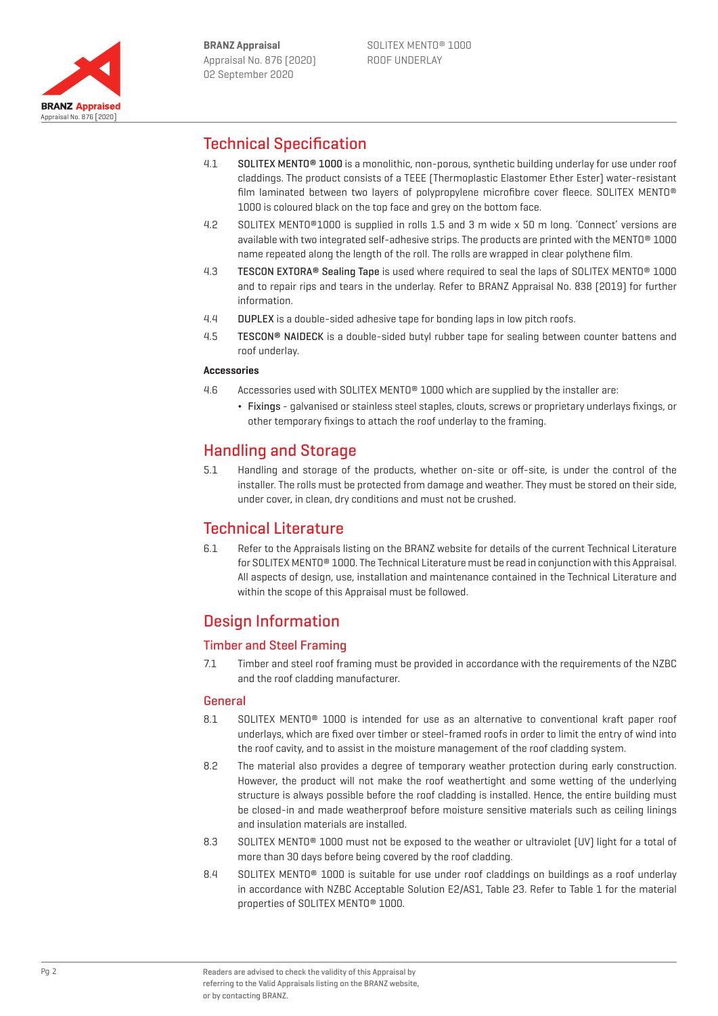

## Technical Specification

- 4.1 SOLITEX MENTO® 1000 is a monolithic, non-porous, synthetic building underlay for use under roof claddings. The product consists of a TEEE (Thermoplastic Elastomer Ether Ester) water-resistant film laminated between two layers of polypropylene microfibre cover fleece. SOLITEX MENTO® 1000 is coloured black on the top face and grey on the bottom face.
- 4.2 SOLITEX MENTO®1000 is supplied in rolls 1.5 and 3 m wide x 50 m long. 'Connect' versions are available with two integrated self-adhesive strips. The products are printed with the MENTO® 1000 name repeated along the length of the roll. The rolls are wrapped in clear polythene film.
- 4.3 TESCON EXTORA® Sealing Tape is used where required to seal the laps of SOLITEX MENTO® 1000 and to repair rips and tears in the underlay. Refer to BRANZ Appraisal No. 838 (2019) for further information.
- 4.4 DUPLEX is a double-sided adhesive tape for bonding laps in low pitch roofs.
- 4.5 TESCON® NAIDECK is a double-sided butyl rubber tape for sealing between counter battens and roof underlay.

#### **Accessories**

- 4.6 Accessories used with SOLITEX MENTO® 1000 which are supplied by the installer are:
	- ¬ Fixings galvanised or stainless steel staples, clouts, screws or proprietary underlays fixings, or other temporary fixings to attach the roof underlay to the framing.

## Handling and Storage

5.1 Handling and storage of the products, whether on-site or off-site, is under the control of the installer. The rolls must be protected from damage and weather. They must be stored on their side, under cover, in clean, dry conditions and must not be crushed.

### Technical Literature

6.1 Refer to the Appraisals listing on the BRANZ website for details of the current Technical Literature for SOLITEX MENTO® 1000. The Technical Literature must be read in conjunction with this Appraisal. All aspects of design, use, installation and maintenance contained in the Technical Literature and within the scope of this Appraisal must be followed.

# Design Information

### Timber and Steel Framing

7.1 Timber and steel roof framing must be provided in accordance with the requirements of the NZBC and the roof cladding manufacturer.

### General

- 8.1 SOLITEX MENTO<sup>®</sup> 1000 is intended for use as an alternative to conventional kraft paper roof underlays, which are fixed over timber or steel-framed roofs in order to limit the entry of wind into the roof cavity, and to assist in the moisture management of the roof cladding system.
- 8.2 The material also provides a degree of temporary weather protection during early construction. However, the product will not make the roof weathertight and some wetting of the underlying structure is always possible before the roof cladding is installed. Hence, the entire building must be closed-in and made weatherproof before moisture sensitive materials such as ceiling linings and insulation materials are installed.
- 8.3 SOLITEX MENTO<sup>®</sup> 1000 must not be exposed to the weather or ultraviolet (UV) light for a total of more than 30 days before being covered by the roof cladding.
- 8.4 SOLITEX MENTO® 1000 is suitable for use under roof claddings on buildings as a roof underlay in accordance with NZBC Acceptable Solution E2/AS1, Table 23. Refer to Table 1 for the material properties of SOLITEX MENTO® 1000.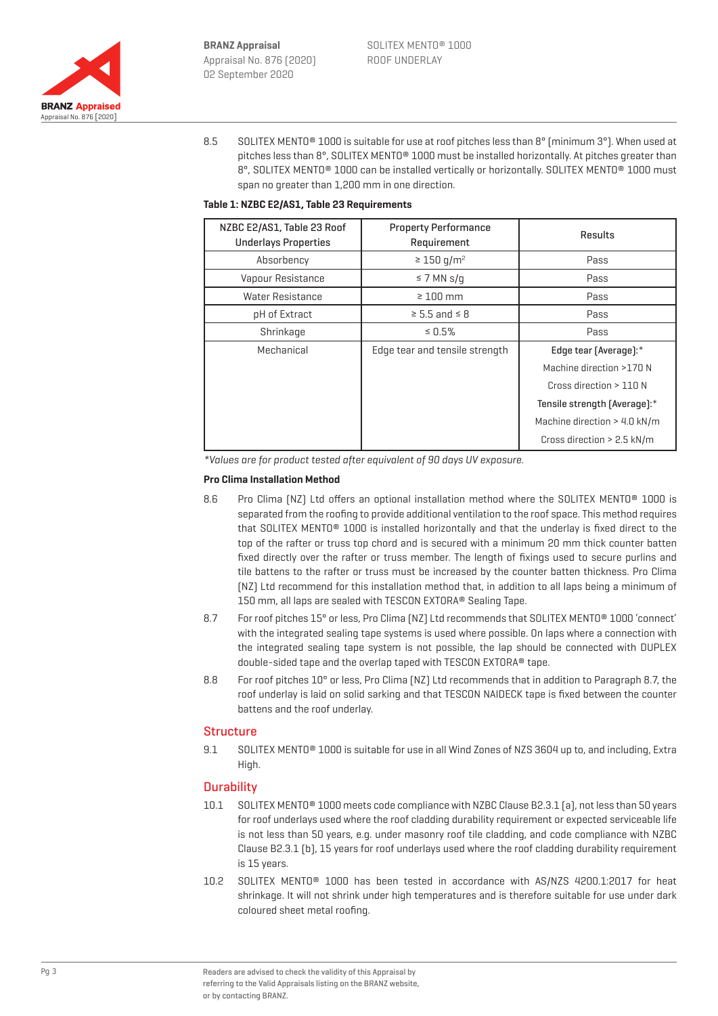

8.5 SOLITEX MENTO® 1000 is suitable for use at roof pitches less than 8° (minimum 3°). When used at pitches less than 8°, SOLITEX MENTO® 1000 must be installed horizontally. At pitches greater than 8°, SOLITEX MENTO<sup>®</sup> 1000 can be installed vertically or horizontally. SOLITEX MENTO<sup>®</sup> 1000 must span no greater than 1,200 mm in one direction.

#### **Table 1: NZBC E2/AS1, Table 23 Requirements**

| NZBC E2/AS1, Table 23 Roof<br><b>Underlays Properties</b> | <b>Property Performance</b><br>Requirement | Results                        |
|-----------------------------------------------------------|--------------------------------------------|--------------------------------|
| Absorbency                                                | $\geq 150$ g/m <sup>2</sup>                | Pass                           |
| Vapour Resistance                                         | $\leq$ 7 MN s/g                            | Pass                           |
| Water Resistance                                          | $\geq 100$ mm                              | Pass                           |
| pH of Extract                                             | $\geq$ 5.5 and $\leq$ 8                    | Pass                           |
| Shrinkage                                                 | $\leq 0.5\%$                               | Pass                           |
| Mechanical                                                | Edge tear and tensile strength             | Edge tear (Average):*          |
|                                                           |                                            | Machine direction >170 N       |
|                                                           |                                            | Cross direction > 110 N        |
|                                                           |                                            | Tensile strength [Average]:*   |
|                                                           |                                            | Machine direction $>$ 4.0 kN/m |
|                                                           |                                            | Cross direction > 2.5 kN/m     |

\*Values are for product tested after equivalent of 90 days UV exposure.

#### **Pro Clima Installation Method**

- 8.6 Pro Clima (NZ) Ltd offers an optional installation method where the SOLITEX MENTO® 1000 is separated from the roofing to provide additional ventilation to the roof space. This method requires that SOLITEX MENTO® 1000 is installed horizontally and that the underlay is fixed direct to the top of the rafter or truss top chord and is secured with a minimum 20 mm thick counter batten fixed directly over the rafter or truss member. The length of fixings used to secure purlins and tile battens to the rafter or truss must be increased by the counter batten thickness. Pro Clima (NZ) Ltd recommend for this installation method that, in addition to all laps being a minimum of 150 mm, all laps are sealed with TESCON EXTORA® Sealing Tape.
- 8.7 For roof pitches 15° or less, Pro Clima (NZ) Ltd recommends that SOLITEX MENTO® 1000 'connect' with the integrated sealing tape systems is used where possible. On laps where a connection with the integrated sealing tape system is not possible, the lap should be connected with DUPLEX double-sided tape and the overlap taped with TESCON EXTORA® tape.
- 8.8 For roof pitches 10° or less, Pro Clima (NZ) Ltd recommends that in addition to Paragraph 8.7, the roof underlay is laid on solid sarking and that TESCON NAIDECK tape is fixed between the counter battens and the roof underlay.

#### **Structure**

9.1 SOLITEX MENTO<sup>®</sup> 1000 is suitable for use in all Wind Zones of NZS 3604 up to, and including, Extra High.

#### **Durability**

- 10.1 SOLITEX MENTO® 1000 meets code compliance with NZBC Clause B2.3.1 (a), not less than 50 years for roof underlays used where the roof cladding durability requirement or expected serviceable life is not less than 50 years, e.g. under masonry roof tile cladding, and code compliance with NZBC Clause B2.3.1 (b), 15 years for roof underlays used where the roof cladding durability requirement is 15 years.
- 10.2 SOLITEX MENTO® 1000 has been tested in accordance with AS/NZS 4200.1:2017 for heat shrinkage. It will not shrink under high temperatures and is therefore suitable for use under dark coloured sheet metal roofing.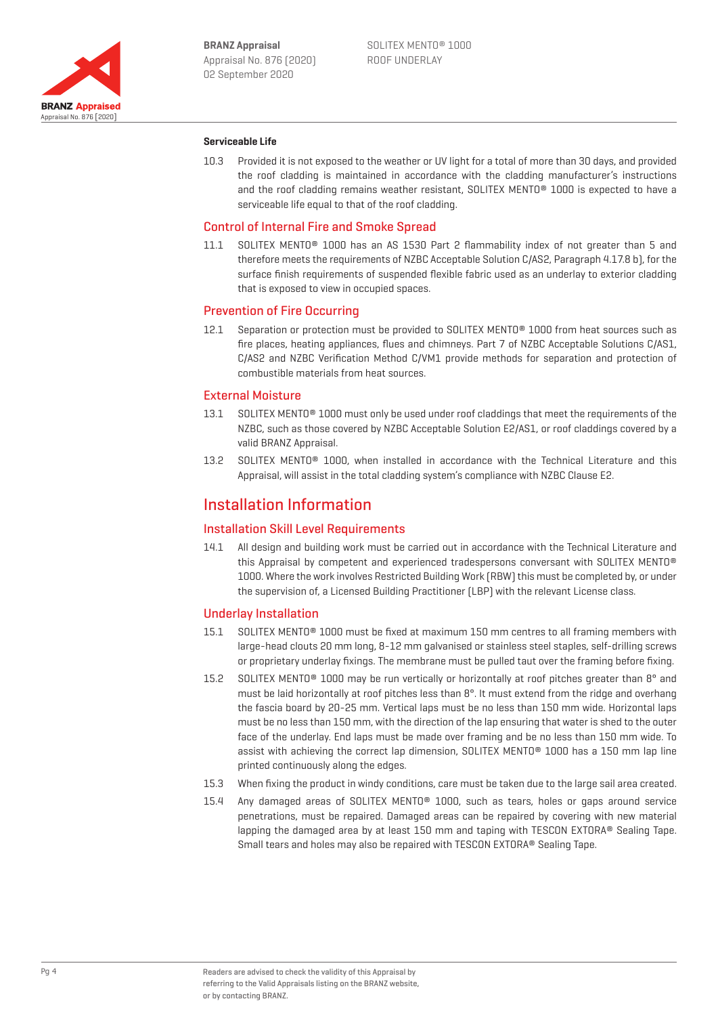

#### **Serviceable Life**

10.3 Provided it is not exposed to the weather or UV light for a total of more than 30 days, and provided the roof cladding is maintained in accordance with the cladding manufacturer's instructions and the roof cladding remains weather resistant, SOLITEX MENTO® 1000 is expected to have a serviceable life equal to that of the roof cladding.

#### Control of Internal Fire and Smoke Spread

11.1 SOLITEX MENTO<sup>®</sup> 1000 has an AS 1530 Part 2 flammability index of not greater than 5 and therefore meets the requirements of NZBC Acceptable Solution C/AS2, Paragraph 4.17.8 b), for the surface finish requirements of suspended flexible fabric used as an underlay to exterior cladding that is exposed to view in occupied spaces.

#### Prevention of Fire Occurring

12.1 Separation or protection must be provided to SOLITEX MENTO<sup>®</sup> 1000 from heat sources such as fire places, heating appliances, flues and chimneys. Part 7 of NZBC Acceptable Solutions C/AS1, C/AS2 and NZBC Verification Method C/VM1 provide methods for separation and protection of combustible materials from heat sources.

#### External Moisture

- 13.1 SOLITEX MENTO® 1000 must only be used under roof claddings that meet the requirements of the NZBC, such as those covered by NZBC Acceptable Solution E2/AS1, or roof claddings covered by a valid BRANZ Appraisal.
- 13.2 SOLITEX MENTO® 1000, when installed in accordance with the Technical Literature and this Appraisal, will assist in the total cladding system's compliance with NZBC Clause E2.

### Installation Information

#### Installation Skill Level Requirements

14.1 All design and building work must be carried out in accordance with the Technical Literature and this Appraisal by competent and experienced tradespersons conversant with SOLITEX MENTO® 1000. Where the work involves Restricted Building Work (RBW) this must be completed by, or under the supervision of, a Licensed Building Practitioner (LBP) with the relevant License class.

#### Underlay Installation

- 15.1 SOLITEX MENTO® 1000 must be fixed at maximum 150 mm centres to all framing members with large-head clouts 20 mm long, 8-12 mm galvanised or stainless steel staples, self-drilling screws or proprietary underlay fixings. The membrane must be pulled taut over the framing before fixing.
- 15.2 SOLITEX MENTO<sup>®</sup> 1000 may be run vertically or horizontally at roof pitches greater than 8° and must be laid horizontally at roof pitches less than 8°. It must extend from the ridge and overhang the fascia board by 20-25 mm. Vertical laps must be no less than 150 mm wide. Horizontal laps must be no less than 150 mm, with the direction of the lap ensuring that water is shed to the outer face of the underlay. End laps must be made over framing and be no less than 150 mm wide. To assist with achieving the correct lap dimension, SOLITEX MENTO® 1000 has a 150 mm lap line printed continuously along the edges.
- 15.3 When fixing the product in windy conditions, care must be taken due to the large sail area created.
- 15.4 Any damaged areas of SOLITEX MENTO® 1000, such as tears, holes or gaps around service penetrations, must be repaired. Damaged areas can be repaired by covering with new material lapping the damaged area by at least 150 mm and taping with TESCON EXTORA® Sealing Tape. Small tears and holes may also be repaired with TESCON EXTORA® Sealing Tape.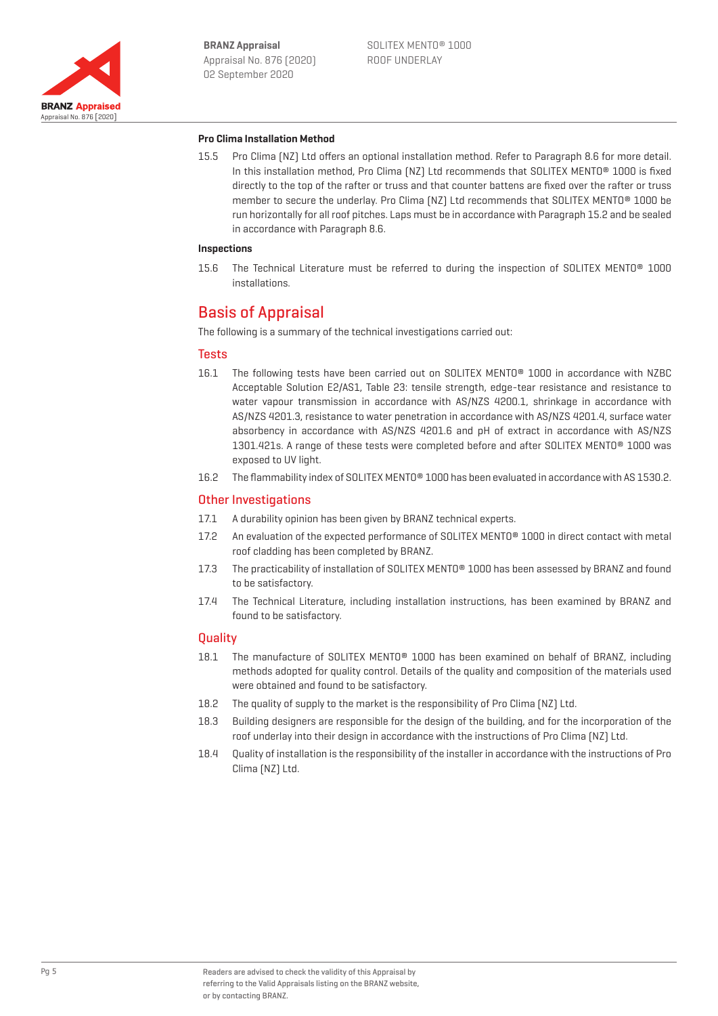

#### **Pro Clima Installation Method**

15.5 Pro Clima (NZ) Ltd offers an optional installation method. Refer to Paragraph 8.6 for more detail. In this installation method, Pro Clima [NZ] Ltd recommends that SOLITEX MENTO® 1000 is fixed directly to the top of the rafter or truss and that counter battens are fixed over the rafter or truss member to secure the underlay. Pro Clima (NZ) Ltd recommends that SOLITEX MENTO® 1000 be run horizontally for all roof pitches. Laps must be in accordance with Paragraph 15.2 and be sealed in accordance with Paragraph 8.6.

#### **Inspections**

15.6 The Technical Literature must be referred to during the inspection of SOLITEX MENTO® 1000 installations.

### Basis of Appraisal

The following is a summary of the technical investigations carried out:

#### **Tests**

- 16.1 The following tests have been carried out on SOLITEX MENTO® 1000 in accordance with NZBC Acceptable Solution E2/AS1, Table 23: tensile strength, edge-tear resistance and resistance to water vapour transmission in accordance with AS/NZS 4200.1, shrinkage in accordance with AS/NZS 4201.3, resistance to water penetration in accordance with AS/NZS 4201.4, surface water absorbency in accordance with AS/NZS 4201.6 and pH of extract in accordance with AS/NZS 1301.421s. A range of these tests were completed before and after SOLITEX MENTO® 1000 was exposed to UV light.
- 16.2 The flammability index of SOLITEX MENTO® 1000 has been evaluated in accordance with AS 1530.2.

#### Other Investigations

- 17.1 A durability opinion has been given by BRANZ technical experts.
- 17.2 An evaluation of the expected performance of SOLITEX MENTO® 1000 in direct contact with metal roof cladding has been completed by BRANZ.
- 17.3 The practicability of installation of SOLITEX MENTO® 1000 has been assessed by BRANZ and found to be satisfactory.
- 17.4 The Technical Literature, including installation instructions, has been examined by BRANZ and found to be satisfactory.

#### **Ouality**

- 18.1 The manufacture of SOLITEX MENTO<sup>®</sup> 1000 has been examined on behalf of BRANZ, including methods adopted for quality control. Details of the quality and composition of the materials used were obtained and found to be satisfactory.
- 18.2 The quality of supply to the market is the responsibility of Pro Clima (NZ) Ltd.
- 18.3 Building designers are responsible for the design of the building, and for the incorporation of the roof underlay into their design in accordance with the instructions of Pro Clima (NZ) Ltd.
- 18.4 Quality of installation is the responsibility of the installer in accordance with the instructions of Pro Clima (NZ) Ltd.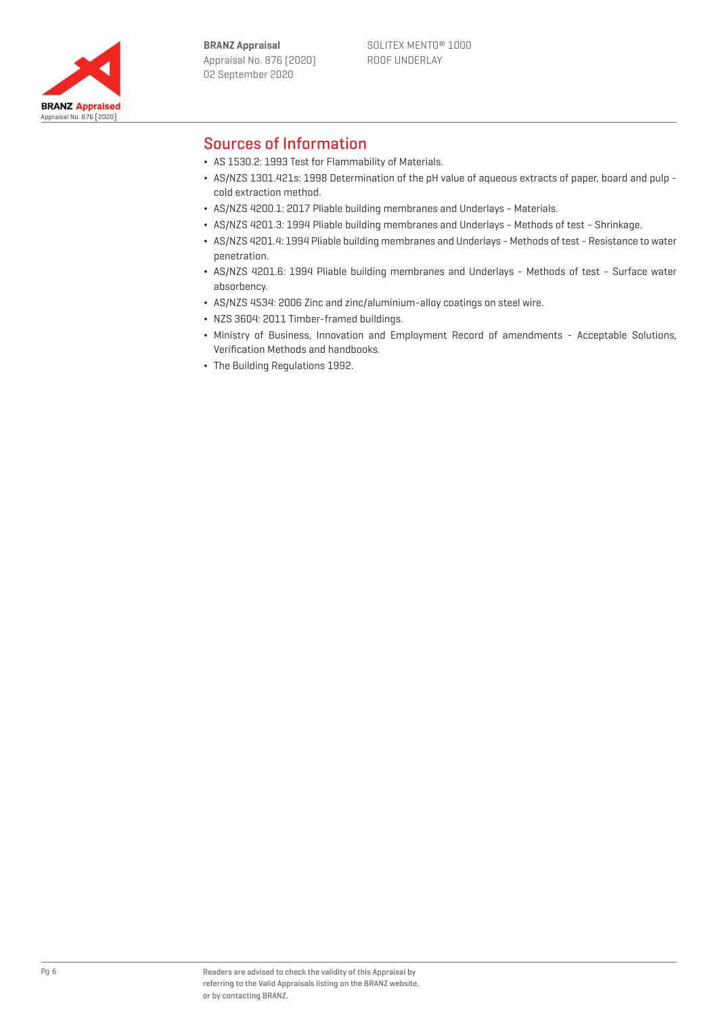

## Sources of Information

- ¬ AS 1530.2: 1993 Test for Flammability of Materials.
- ¬ AS/NZS 1301.421s: 1998 Determination of the pH value of aqueous extracts of paper, board and pulp cold extraction method.
- ¬ AS/NZS 4200.1: 2017 Pliable building membranes and Underlays Materials.
- ¬ AS/NZS 4201.3: 1994 Pliable building membranes and Underlays Methods of test Shrinkage.
- ¬ AS/NZS 4201.4: 1994 Pliable building membranes and Underlays Methods of test Resistance to water penetration.
- ¬ AS/NZS 4201.6: 1994 Pliable building membranes and Underlays Methods of test Surface water absorbency.
- ¬ AS/NZS 4534: 2006 Zinc and zinc/aluminium-alloy coatings on steel wire.
- ¬ NZS 3604: 2011 Timber-framed buildings.
- ¬ Ministry of Business, Innovation and Employment Record of amendments Acceptable Solutions, Verification Methods and handbooks.
- ¬ The Building Regulations 1992.